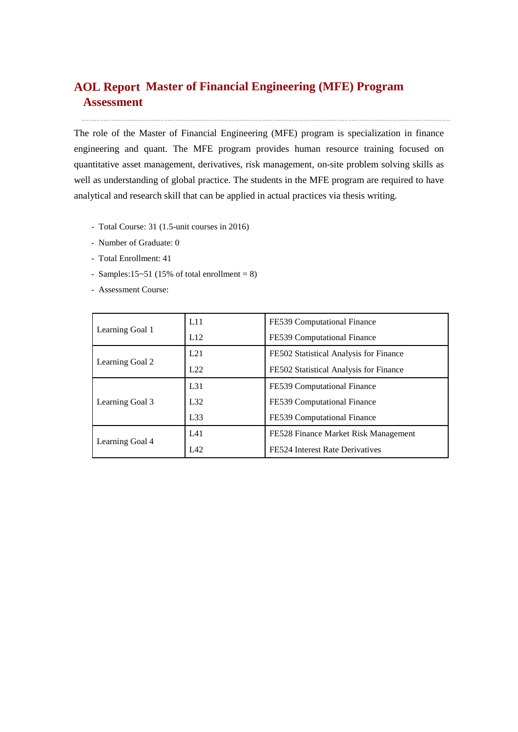# **Master of Financial Engineering (MFE) Program AOL ReportAssessment**

The role of the Master of Financial Engineering (MFE) program is specialization in finance engineering and quant. The MFE program provides human resource training focused on quantitative asset management, derivatives, risk management, on-site problem solving skills as well as understanding of global practice. The students in the MFE program are required to have analytical and research skill that can be applied in actual practices via thesis writing.

- Total Course: 31 (1.5-unit courses in 2016)
- Number of Graduate: 0
- Total Enrollment: 41
- Samples:15~51 (15% of total enrollment =  $8$ )
- Assessment Course:

|                 | L11             | FE539 Computational Finance            |  |  |
|-----------------|-----------------|----------------------------------------|--|--|
| Learning Goal 1 | L12             | FE539 Computational Finance            |  |  |
|                 | L21             | FE502 Statistical Analysis for Finance |  |  |
| Learning Goal 2 | L22             | FE502 Statistical Analysis for Finance |  |  |
|                 | L <sub>31</sub> | FE539 Computational Finance            |  |  |
| Learning Goal 3 | L32             | FE539 Computational Finance            |  |  |
|                 | L33             | FE539 Computational Finance            |  |  |
|                 | L41             | FE528 Finance Market Risk Management   |  |  |
| Learning Goal 4 | LA2             | FE524 Interest Rate Derivatives        |  |  |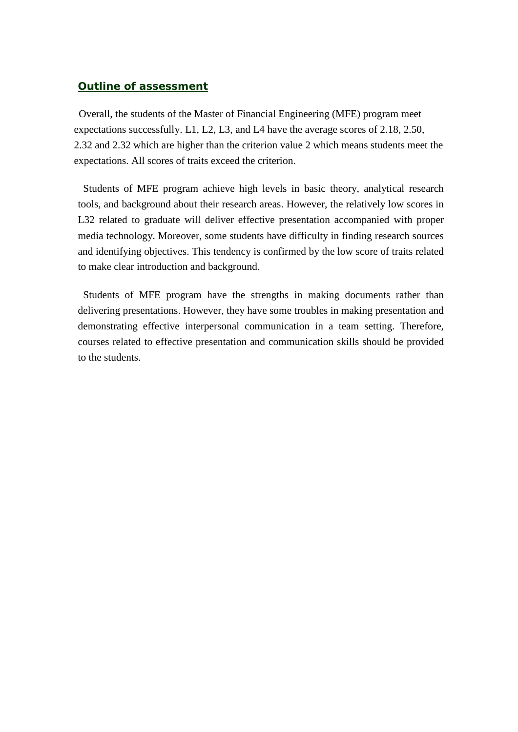## *Outline of assessment*

Overall, the students of the Master of Financial Engineering (MFE) program meet expectations successfully. L1, L2, L3, and L4 have the average scores of 2.18, 2.50, 2.32 and 2.32 which are higher than the criterion value 2 which means students meet the expectations. All scores of traits exceed the criterion.

Students of MFE program achieve high levels in basic theory, analytical research tools, and background about their research areas. However, the relatively low scores in L32 related to graduate will deliver effective presentation accompanied with proper media technology. Moreover, some students have difficulty in finding research sources and identifying objectives. This tendency is confirmed by the low score of traits related to make clear introduction and background.

Students of MFE program have the strengths in making documents rather than delivering presentations. However, they have some troubles in making presentation and demonstrating effective interpersonal communication in a team setting. Therefore, courses related to effective presentation and communication skills should be provided to the students.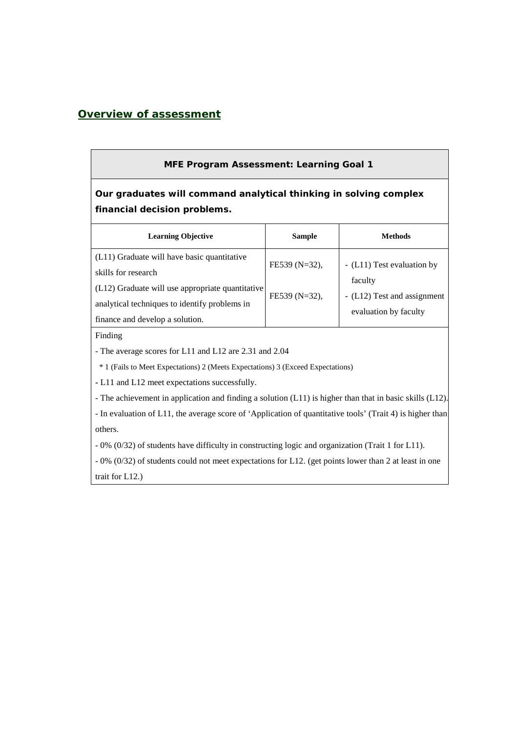## *Overview of assessment*

#### **MFE Program Assessment: Learning Goal 1**

**Our graduates will command analytical thinking in solving complex financial decision problems.**

| <b>Learning Objective</b>                                                                                                                                                                                    | <b>Sample</b>                     | <b>Methods</b>                                                                                |
|--------------------------------------------------------------------------------------------------------------------------------------------------------------------------------------------------------------|-----------------------------------|-----------------------------------------------------------------------------------------------|
| (L11) Graduate will have basic quantitative<br>skills for research<br>$(L12)$ Graduate will use appropriate quantitative<br>analytical techniques to identify problems in<br>finance and develop a solution. | FE539 (N=32),<br>$FE539 (N=32)$ , | - (L11) Test evaluation by<br>faculty<br>- (L12) Test and assignment<br>evaluation by faculty |

Finding

- The average scores for L11 and L12 are 2.31 and 2.04

\* 1 (Fails to Meet Expectations) 2 (Meets Expectations) 3 (Exceed Expectations)

**-** L11 and L12 meet expectations successfully.

- The achievement in application and finding a solution (L11) is higher than that in basic skills (L12).

- In evaluation of L11, the average score of 'Application of quantitative tools' (Trait 4) is higher than others.

- 0% (0/32) of students have difficulty in constructing logic and organization (Trait 1 for L11).

- 0% (0/32) of students could not meet expectations for L12. (get points lower than 2 at least in one trait for L12.)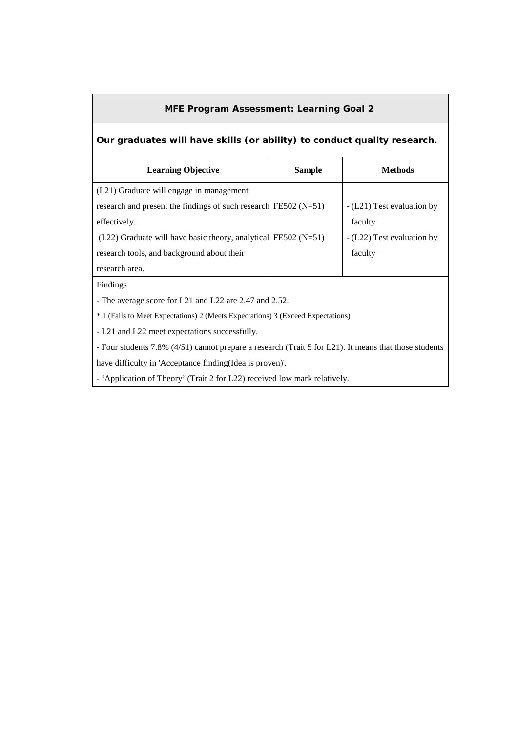### **MFE Program Assessment: Learning Goal 2**

## **Our graduates will have skills (or ability) to conduct quality research.**

| <b>Learning Objective</b>                                           | <b>Sample</b> | Methods                    |
|---------------------------------------------------------------------|---------------|----------------------------|
| (L21) Graduate will engage in management                            |               |                            |
| research and present the findings of such research FE502 ( $N=51$ ) |               | - (L21) Test evaluation by |
| effectively.                                                        |               | faculty                    |
| $(L22)$ Graduate will have basic theory, analytical FE502 (N=51)    |               | - (L22) Test evaluation by |
| research tools, and background about their                          |               | faculty                    |
| research area.                                                      |               |                            |

Findings

- The average score for L21 and L22 are 2.47 and 2.52.

\* 1 (Fails to Meet Expectations) 2 (Meets Expectations) 3 (Exceed Expectations)

**-** L21 and L22 meet expectations successfully.

- Four students 7.8% (4/51) cannot prepare a research (Trait 5 for L21). It means that those students

have difficulty in 'Acceptance finding(Idea is proven)'.

- 'Application of Theory' (Trait 2 for L22) received low mark relatively.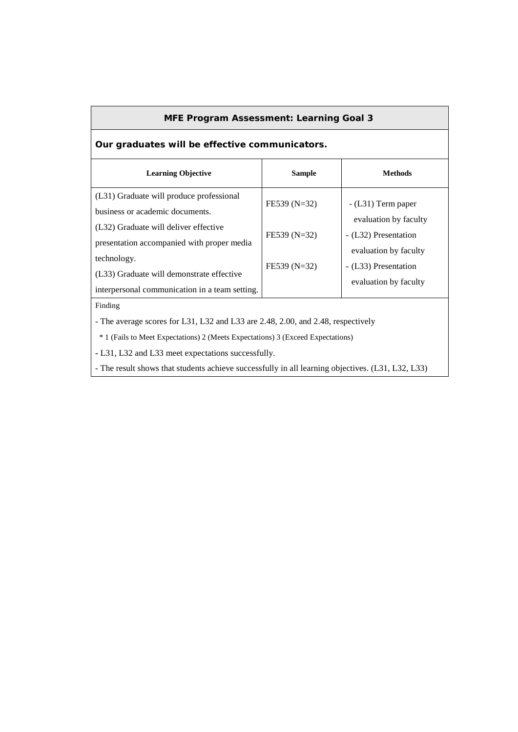#### **MFE Program Assessment: Learning Goal 3**

# **Our graduates will be effective communicators.**

| <b>Learning Objective</b>                                                                                  | <b>Sample</b>  | <b>Methods</b>                                                         |
|------------------------------------------------------------------------------------------------------------|----------------|------------------------------------------------------------------------|
| (L31) Graduate will produce professional<br>business or academic documents.                                | $FE539 (N=32)$ | $-L31$ ) Term paper                                                    |
| (L32) Graduate will deliver effective<br>presentation accompanied with proper media                        | $FE539 (N=32)$ | evaluation by faculty<br>- (L32) Presentation<br>evaluation by faculty |
| technology.<br>(L33) Graduate will demonstrate effective<br>interpersonal communication in a team setting. | $FE539 (N=32)$ | - (L33) Presentation<br>evaluation by faculty                          |
| Finding                                                                                                    |                |                                                                        |

- The average scores for L31, L32 and L33 are 2.48, 2.00, and 2.48, respectively

\* 1 (Fails to Meet Expectations) 2 (Meets Expectations) 3 (Exceed Expectations)

**-** L31, L32 and L33 meet expectations successfully.

- The result shows that students achieve successfully in all learning objectives. (L31, L32, L33)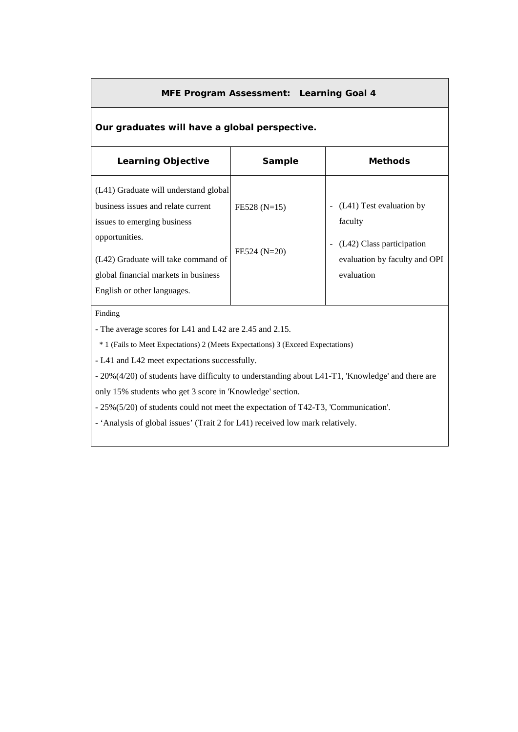#### **MFE Program Assessment: Learning Goal 4**

### **Our graduates will have a global perspective.**

| <b>Learning Objective</b>                                                                                                                                                                                                                  | Sample                           | <b>Methods</b>                                                                                                  |
|--------------------------------------------------------------------------------------------------------------------------------------------------------------------------------------------------------------------------------------------|----------------------------------|-----------------------------------------------------------------------------------------------------------------|
| (L41) Graduate will understand global<br>business issues and relate current<br>issues to emerging business<br>opportunities.<br>(L42) Graduate will take command of<br>global financial markets in business<br>English or other languages. | $FE528 (N=15)$<br>$FE524 (N=20)$ | (L41) Test evaluation by<br>faculty<br>(L42) Class participation<br>evaluation by faculty and OPI<br>evaluation |

#### Finding

- The average scores for L41 and L42 are 2.45 and 2.15.

\* 1 (Fails to Meet Expectations) 2 (Meets Expectations) 3 (Exceed Expectations)

**-** L41 and L42 meet expectations successfully.

- 20%(4/20) of students have difficulty to understanding about L41-T1, 'Knowledge' and there are

only 15% students who get 3 score in 'Knowledge' section.

- 25%(5/20) of students could not meet the expectation of T42-T3, 'Communication'.

- 'Analysis of global issues' (Trait 2 for L41) received low mark relatively.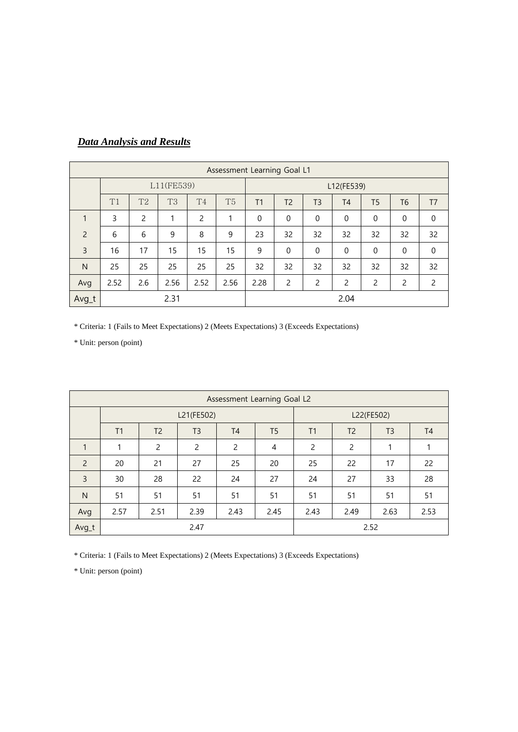|                | Assessment Learning Goal L1 |                |                |                |                |                |                |                |                |                |                |                |
|----------------|-----------------------------|----------------|----------------|----------------|----------------|----------------|----------------|----------------|----------------|----------------|----------------|----------------|
|                | L11(FE539)                  |                |                |                |                |                | L12(FE539)     |                |                |                |                |                |
|                | T1                          | T <sub>2</sub> | T <sub>3</sub> | T <sub>4</sub> | T <sub>5</sub> | T <sub>1</sub> | T <sub>2</sub> | T <sub>3</sub> | T <sub>4</sub> | T <sub>5</sub> | T <sub>6</sub> | T <sub>7</sub> |
|                | 3                           | $\overline{2}$ | 1              | 2              | 1              | $\mathbf 0$    | $\mathbf 0$    | $\mathbf{0}$   | $\mathbf 0$    | $\mathbf 0$    | $\mathbf 0$    | $\mathbf 0$    |
| $\overline{2}$ | 6                           | 6              | 9              | 8              | 9              | 23             | 32             | 32             | 32             | 32             | 32             | 32             |
| $\overline{3}$ | 16                          | 17             | 15             | 15             | 15             | 9              | $\mathbf 0$    | $\Omega$       | 0              | 0              | $\mathbf 0$    | $\mathbf 0$    |
| $\mathsf{N}$   | 25                          | 25             | 25             | 25             | 25             | 32             | 32             | 32             | 32             | 32             | 32             | 32             |
| Avg            | 2.52                        | 2.6            | 2.56           | 2.52           | 2.56           | 2.28           | 2              | 2              | 2              | 2              | $\overline{c}$ | 2              |
| Avg_t          |                             |                | 2.31           |                |                |                | 2.04           |                |                |                |                |                |

# *Data Analysis and Results*

\* Criteria: 1 (Fails to Meet Expectations) 2 (Meets Expectations) 3 (Exceeds Expectations)

\* Unit: person (point)

| Assessment Learning Goal L2 |      |                |                |                |                |      |                |                |                |  |
|-----------------------------|------|----------------|----------------|----------------|----------------|------|----------------|----------------|----------------|--|
|                             |      |                | L21(FE502)     | L22(FE502)     |                |      |                |                |                |  |
|                             | T1   | T <sub>2</sub> | T <sub>3</sub> | T <sub>4</sub> | T <sub>5</sub> | T1   | T <sub>2</sub> | T <sub>3</sub> | T <sub>4</sub> |  |
| $\mathbf{1}$                | 1    | $\overline{c}$ | 2              | 2              | 4              | 2    | 2              | 1              |                |  |
| $\overline{2}$              | 20   | 21             | 27             | 25             | 20             | 25   | 22             | 17             | 22             |  |
| 3                           | 30   | 28             | 22             | 24             | 27             | 24   | 27             | 33             | 28             |  |
| N                           | 51   | 51             | 51             | 51             | 51             | 51   | 51             | 51             | 51             |  |
| Avg                         | 2.57 | 2.51           | 2.39           | 2.43           | 2.45           | 2.43 | 2.49           | 2.63           | 2.53           |  |
| Avg_t                       |      |                | 2.47           |                |                |      |                | 2.52           |                |  |

\* Criteria: 1 (Fails to Meet Expectations) 2 (Meets Expectations) 3 (Exceeds Expectations)

\* Unit: person (point)